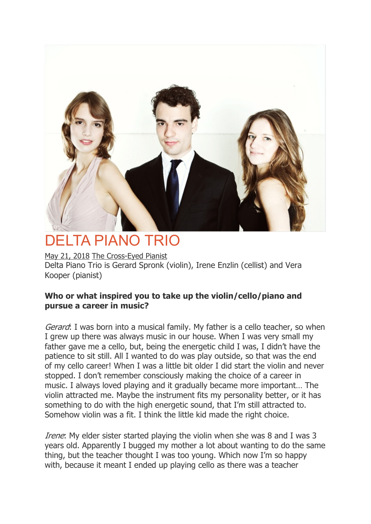

# DELTA PIANO TRIO

May 21, 2018 The Cross-Eyed Pianist Delta Piano Trio is Gerard Spronk (violin), Irene Enzlin (cellist) and Vera Kooper (pianist)

# **Who or what inspired you to take up the violin/cello/piano and pursue a career in music?**

Gerard: I was born into a musical family. My father is a cello teacher, so when I grew up there was always music in our house. When I was very small my father gave me a cello, but, being the energetic child I was, I didn't have the patience to sit still. All I wanted to do was play outside, so that was the end of my cello career! When I was a little bit older I did start the violin and never stopped. I don't remember consciously making the choice of a career in music. I always loved playing and it gradually became more important… The violin attracted me. Maybe the instrument fits my personality better, or it has something to do with the high energetic sound, that I'm still attracted to. Somehow violin was a fit. I think the little kid made the right choice.

Irene: My elder sister started playing the violin when she was 8 and I was 3 years old. Apparently I bugged my mother a lot about wanting to do the same thing, but the teacher thought I was too young. Which now I'm so happy with, because it meant I ended up playing cello as there was a teacher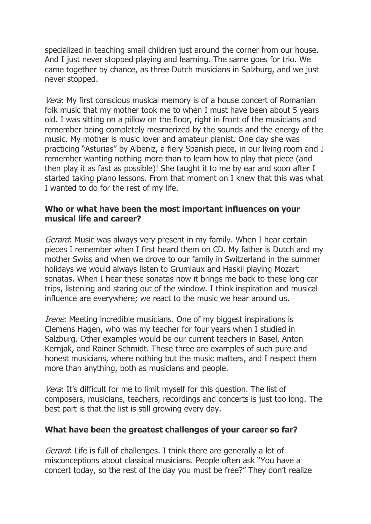specialized in teaching small children just around the corner from our house. And I just never stopped playing and learning. The same goes for trio. We came together by chance, as three Dutch musicians in Salzburg, and we just never stopped.

Vera: My first conscious musical memory is of a house concert of Romanian folk music that my mother took me to when I must have been about 5 years old. I was sitting on a pillow on the floor, right in front of the musicians and remember being completely mesmerized by the sounds and the energy of the music. My mother is music lover and amateur pianist. One day she was practicing "Asturias" by Albeniz, a fiery Spanish piece, in our living room and I remember wanting nothing more than to learn how to play that piece (and then play it as fast as possible)! She taught it to me by ear and soon after I started taking piano lessons. From that moment on I knew that this was what I wanted to do for the rest of my life.

## **Who or what have been the most important influences on your musical life and career?**

Gerard: Music was always very present in my family. When I hear certain pieces I remember when I first heard them on CD. My father is Dutch and my mother Swiss and when we drove to our family in Switzerland in the summer holidays we would always listen to Grumiaux and Haskil playing Mozart sonatas. When I hear these sonatas now it brings me back to these long car trips, listening and staring out of the window. I think inspiration and musical influence are everywhere; we react to the music we hear around us.

*Irene*: Meeting incredible musicians. One of my biggest inspirations is Clemens Hagen, who was my teacher for four years when I studied in Salzburg. Other examples would be our current teachers in Basel, Anton Kernjak, and Rainer Schmidt. These three are examples of such pure and honest musicians, where nothing but the music matters, and I respect them more than anything, both as musicians and people.

Vera: It's difficult for me to limit myself for this question. The list of composers, musicians, teachers, recordings and concerts is just too long. The best part is that the list is still growing every day.

## **What have been the greatest challenges of your career so far?**

Gerard: Life is full of challenges. I think there are generally a lot of misconceptions about classical musicians. People often ask "You have a concert today, so the rest of the day you must be free?" They don't realize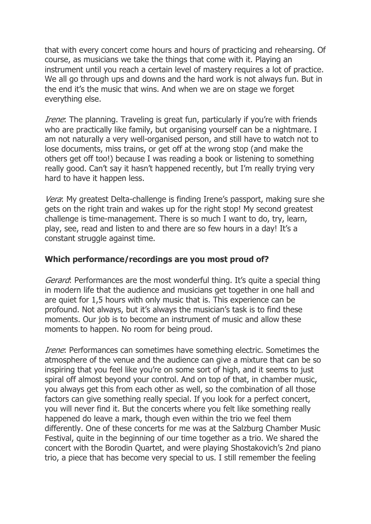that with every concert come hours and hours of practicing and rehearsing. Of course, as musicians we take the things that come with it. Playing an instrument until you reach a certain level of mastery requires a lot of practice. We all go through ups and downs and the hard work is not always fun. But in the end it's the music that wins. And when we are on stage we forget everything else.

Irene: The planning. Traveling is great fun, particularly if you're with friends who are practically like family, but organising yourself can be a nightmare. I am not naturally a very well-organised person, and still have to watch not to lose documents, miss trains, or get off at the wrong stop (and make the others get off too!) because I was reading a book or listening to something really good. Can't say it hasn't happened recently, but I'm really trying very hard to have it happen less.

Vera: My greatest Delta-challenge is finding Irene's passport, making sure she gets on the right train and wakes up for the right stop! My second greatest challenge is time-management. There is so much I want to do, try, learn, play, see, read and listen to and there are so few hours in a day! It's a constant struggle against time.

## **Which performance/recordings are you most proud of?**

Gerard: Performances are the most wonderful thing. It's quite a special thing in modern life that the audience and musicians get together in one hall and are quiet for 1,5 hours with only music that is. This experience can be profound. Not always, but it's always the musician's task is to find these moments. Our job is to become an instrument of music and allow these moments to happen. No room for being proud.

Irene: Performances can sometimes have something electric. Sometimes the atmosphere of the venue and the audience can give a mixture that can be so inspiring that you feel like you're on some sort of high, and it seems to just spiral off almost beyond your control. And on top of that, in chamber music, you always get this from each other as well, so the combination of all those factors can give something really special. If you look for a perfect concert, you will never find it. But the concerts where you felt like something really happened do leave a mark, though even within the trio we feel them differently. One of these concerts for me was at the Salzburg Chamber Music Festival, quite in the beginning of our time together as a trio. We shared the concert with the Borodin Quartet, and were playing Shostakovich's 2nd piano trio, a piece that has become very special to us. I still remember the feeling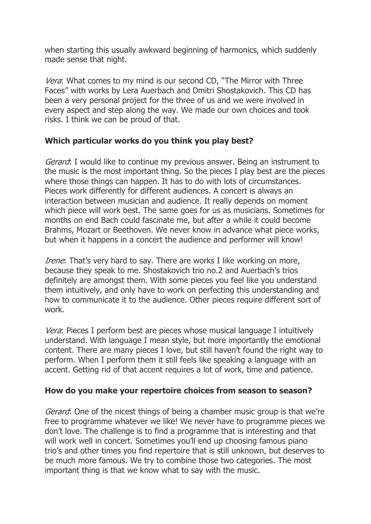when starting this usually awkward beginning of harmonics, which suddenly made sense that night.

Vera: What comes to my mind is our second CD, "The Mirror with Three Faces" with works by Lera Auerbach and Dmitri Shostakovich. This CD has been a very personal project for the three of us and we were involved in every aspect and step along the way. We made our own choices and took risks. I think we can be proud of that.

## **Which particular works do you think you play best?**

Gerard: I would like to continue my previous answer. Being an instrument to the music is the most important thing. So the pieces I play best are the pieces where those things can happen. It has to do with lots of circumstances. Pieces work differently for different audiences. A concert is always an interaction between musician and audience. It really depends on moment which piece will work best. The same goes for us as musicians. Sometimes for months on end Bach could fascinate me, but after a while it could become Brahms, Mozart or Beethoven. We never know in advance what piece works, but when it happens in a concert the audience and performer will know!

*Irene*: That's very hard to say. There are works I like working on more, because they speak to me. Shostakovich trio no.2 and Auerbach's trios definitely are amongst them. With some pieces you feel like you understand them intuitively, and only have to work on perfecting this understanding and how to communicate it to the audience. Other pieces require different sort of work.

Vera: Pieces I perform best are pieces whose musical language I intuitively understand. With language I mean style, but more importantly the emotional content. There are many pieces I love, but still haven't found the right way to perform. When I perform them it still feels like speaking a language with an accent. Getting rid of that accent requires a lot of work, time and patience.

## **How do you make your repertoire choices from season to season?**

Gerard: One of the nicest things of being a chamber music group is that we're free to programme whatever we like! We never have to programme pieces we don't love. The challenge is to find a programme that is interesting and that will work well in concert. Sometimes you'll end up choosing famous piano trio's and other times you find repertoire that is still unknown, but deserves to be much more famous. We try to combine those two categories. The most important thing is that we know what to say with the music.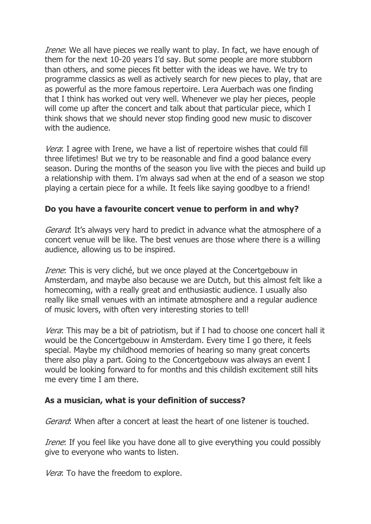Irene: We all have pieces we really want to play. In fact, we have enough of them for the next 10-20 years I'd say. But some people are more stubborn than others, and some pieces fit better with the ideas we have. We try to programme classics as well as actively search for new pieces to play, that are as powerful as the more famous repertoire. Lera Auerbach was one finding that I think has worked out very well. Whenever we play her pieces, people will come up after the concert and talk about that particular piece, which I think shows that we should never stop finding good new music to discover with the audience.

Vera: I agree with Irene, we have a list of repertoire wishes that could fill three lifetimes! But we try to be reasonable and find a good balance every season. During the months of the season you live with the pieces and build up a relationship with them. I'm always sad when at the end of a season we stop playing a certain piece for a while. It feels like saying goodbye to a friend!

## **Do you have a favourite concert venue to perform in and why?**

Gerard: It's always very hard to predict in advance what the atmosphere of a concert venue will be like. The best venues are those where there is a willing audience, allowing us to be inspired.

Irene: This is very cliché, but we once played at the Concertgebouw in Amsterdam, and maybe also because we are Dutch, but this almost felt like a homecoming, with a really great and enthusiastic audience. I usually also really like small venues with an intimate atmosphere and a regular audience of music lovers, with often very interesting stories to tell!

Vera: This may be a bit of patriotism, but if I had to choose one concert hall it would be the Concertgebouw in Amsterdam. Every time I go there, it feels special. Maybe my childhood memories of hearing so many great concerts there also play a part. Going to the Concertgebouw was always an event I would be looking forward to for months and this childish excitement still hits me every time I am there.

## **As a musician, what is your definition of success?**

Gerard: When after a concert at least the heart of one listener is touched.

Irene: If you feel like you have done all to give everything you could possibly give to everyone who wants to listen.

Vera: To have the freedom to explore.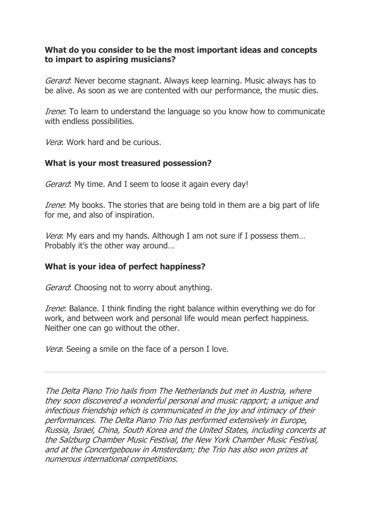## **What do you consider to be the most important ideas and concepts to impart to aspiring musicians?**

Gerard: Never become stagnant. Always keep learning. Music always has to be alive. As soon as we are contented with our performance, the music dies.

Irene: To learn to understand the language so you know how to communicate with endless possibilities.

Vera: Work hard and be curious.

## **What is your most treasured possession?**

Gerard: My time. And I seem to loose it again every day!

Irene: My books. The stories that are being told in them are a big part of life for me, and also of inspiration.

Vera: My ears and my hands. Although I am not sure if I possess them... Probably it's the other way around…

## **What is your idea of perfect happiness?**

Gerard: Choosing not to worry about anything.

Irene: Balance. I think finding the right balance within everything we do for work, and between work and personal life would mean perfect happiness. Neither one can go without the other.

Vera: Seeing a smile on the face of a person I love.

The Delta Piano Trio hails from The Netherlands but met in Austria, where they soon discovered a wonderful personal and music rapport; a unique and infectious friendship which is communicated in the joy and intimacy of their performances. The Delta Piano Trio has performed extensively in Europe, Russia, Israel, China, South Korea and the United States, including concerts at the Salzburg Chamber Music Festival, the New York Chamber Music Festival, and at the Concertgebouw in Amsterdam; the Trio has also won prizes at numerous international competitions.